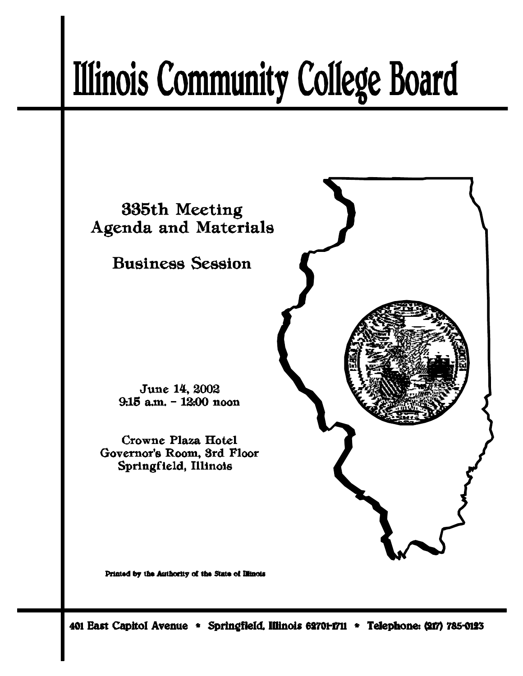# **Illinois Community College Board**



Printed by the Authority of the State of Illinois

401 East Capitol Avenue \* Springfield, Illinois 62701-1711 \* Telephone: (217) 785-0123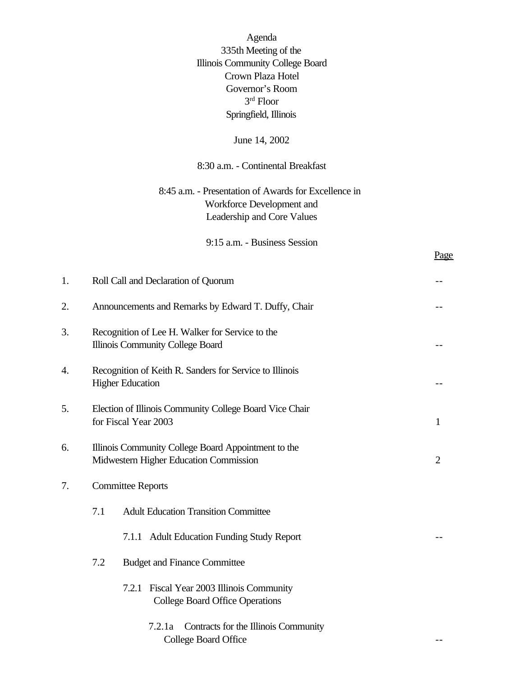Agenda 335th Meeting of the Illinois Community College Board Crown Plaza Hotel Governor's Room 3 rd Floor Springfield, Illinois

## June 14, 2002

## 8:30 a.m. - Continental Breakfast

## 8:45 a.m. - Presentation of Awards for Excellence in Workforce Development and Leadership and Core Values

9:15 a.m. - Business Session

| 1.                             |                                                                                                                 | Roll Call and Declaration of Quorum                                                             |  |  |
|--------------------------------|-----------------------------------------------------------------------------------------------------------------|-------------------------------------------------------------------------------------------------|--|--|
| 2.                             | Announcements and Remarks by Edward T. Duffy, Chair                                                             |                                                                                                 |  |  |
| 3.                             |                                                                                                                 | Recognition of Lee H. Walker for Service to the<br>Illinois Community College Board             |  |  |
| 4.                             |                                                                                                                 | Recognition of Keith R. Sanders for Service to Illinois<br><b>Higher Education</b>              |  |  |
| 5.                             |                                                                                                                 | Election of Illinois Community College Board Vice Chair<br>for Fiscal Year 2003<br>$\mathbf{1}$ |  |  |
| 6.                             | Illinois Community College Board Appointment to the<br>Midwestern Higher Education Commission<br>$\overline{2}$ |                                                                                                 |  |  |
| <b>Committee Reports</b><br>7. |                                                                                                                 |                                                                                                 |  |  |
|                                | 7.1                                                                                                             | <b>Adult Education Transition Committee</b>                                                     |  |  |
|                                |                                                                                                                 | 7.1.1 Adult Education Funding Study Report                                                      |  |  |
|                                | 7.2                                                                                                             | <b>Budget and Finance Committee</b>                                                             |  |  |
|                                |                                                                                                                 | Fiscal Year 2003 Illinois Community<br>7.2.1<br><b>College Board Office Operations</b>          |  |  |
|                                |                                                                                                                 | Contracts for the Illinois Community<br>7.2.1a<br><b>College Board Office</b>                   |  |  |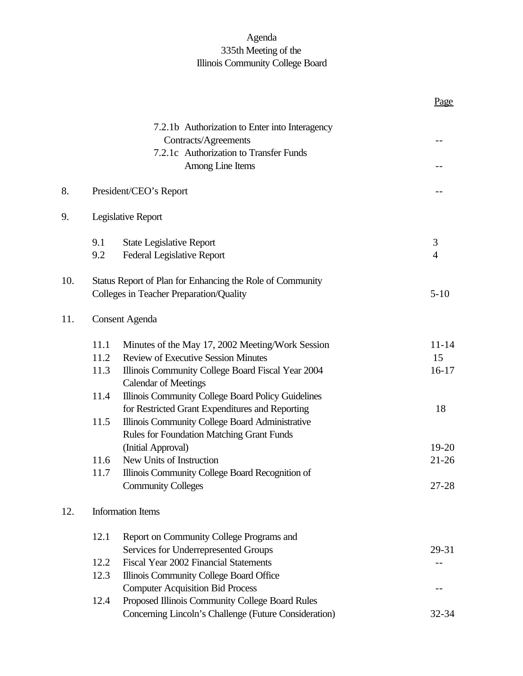## Agenda 335th Meeting of the Illinois Community College Board

|     |                       |                                                                                  | Page      |
|-----|-----------------------|----------------------------------------------------------------------------------|-----------|
|     |                       | 7.2.1b Authorization to Enter into Interagency                                   |           |
|     |                       | Contracts/Agreements                                                             | $- -$     |
|     |                       | 7.2.1c Authorization to Transfer Funds                                           |           |
|     |                       | Among Line Items                                                                 |           |
| 8.  |                       | President/CEO's Report                                                           |           |
| 9.  |                       | Legislative Report                                                               |           |
|     | 9.1                   | <b>State Legislative Report</b>                                                  | 3         |
|     | 9.2                   | <b>Federal Legislative Report</b>                                                | 4         |
| 10. |                       | Status Report of Plan for Enhancing the Role of Community                        |           |
|     |                       | Colleges in Teacher Preparation/Quality                                          | $5 - 10$  |
| 11. | <b>Consent Agenda</b> |                                                                                  |           |
|     | 11.1                  | Minutes of the May 17, 2002 Meeting/Work Session                                 | $11 - 14$ |
|     | 11.2                  | <b>Review of Executive Session Minutes</b>                                       | 15        |
|     | 11.3                  | Illinois Community College Board Fiscal Year 2004<br><b>Calendar of Meetings</b> | $16-17$   |
|     | 11.4                  | Illinois Community College Board Policy Guidelines                               |           |
|     |                       | for Restricted Grant Expenditures and Reporting                                  | 18        |
|     | 11.5                  | Illinois Community College Board Administrative                                  |           |
|     |                       | <b>Rules for Foundation Matching Grant Funds</b>                                 |           |
|     |                       | (Initial Approval)                                                               | 19-20     |
|     | 11.6                  | New Units of Instruction                                                         | $21 - 26$ |
|     | 11.7                  | Illinois Community College Board Recognition of<br><b>Community Colleges</b>     | 27-28     |
| 12. |                       | <b>Information Items</b>                                                         |           |
|     | 12.1                  | Report on Community College Programs and                                         |           |
|     |                       | Services for Underrepresented Groups                                             | 29-31     |
|     | 12.2                  | Fiscal Year 2002 Financial Statements                                            |           |
|     | 12.3                  | Illinois Community College Board Office                                          |           |
|     |                       | <b>Computer Acquisition Bid Process</b>                                          |           |
|     | 12.4                  | Proposed Illinois Community College Board Rules                                  |           |
|     |                       | Concerning Lincoln's Challenge (Future Consideration)                            | 32-34     |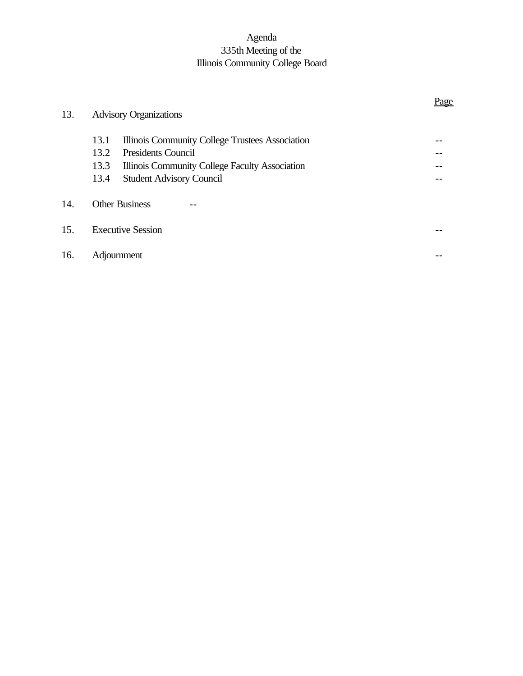## Agenda 335th Meeting of the Illinois Community College Board

| 13. | <b>Advisory Organizations</b> |                                                 | <u>rag</u> |  |
|-----|-------------------------------|-------------------------------------------------|------------|--|
|     | 13.1                          | Illinois Community College Trustees Association |            |  |
|     | 13.2                          | <b>Presidents Council</b>                       |            |  |
|     | 13.3                          | Illinois Community College Faculty Association  |            |  |
|     | 13.4                          | <b>Student Advisory Council</b>                 |            |  |
| 14. |                               | <b>Other Business</b>                           |            |  |
| 15. | <b>Executive Session</b>      |                                                 |            |  |
| 16. | Adjournment                   |                                                 |            |  |

## Page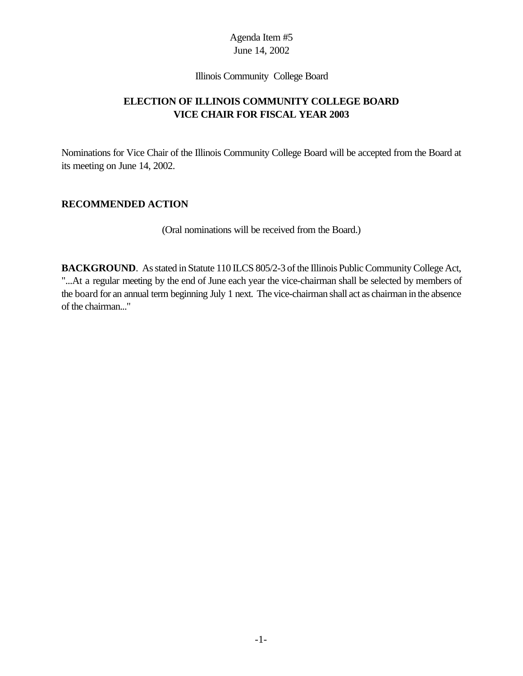#### Illinois Community College Board

## **ELECTION OF ILLINOIS COMMUNITY COLLEGE BOARD VICE CHAIR FOR FISCAL YEAR 2003**

Nominations for Vice Chair of the Illinois Community College Board will be accepted from the Board at its meeting on June 14, 2002.

#### **RECOMMENDED ACTION**

(Oral nominations will be received from the Board.)

**BACKGROUND**. As stated in Statute 110 ILCS 805/2-3 of the Illinois Public Community College Act, "...At a regular meeting by the end of June each year the vice-chairman shall be selected by members of the board for an annual term beginning July 1 next. The vice-chairman shall act as chairman in the absence of the chairman..."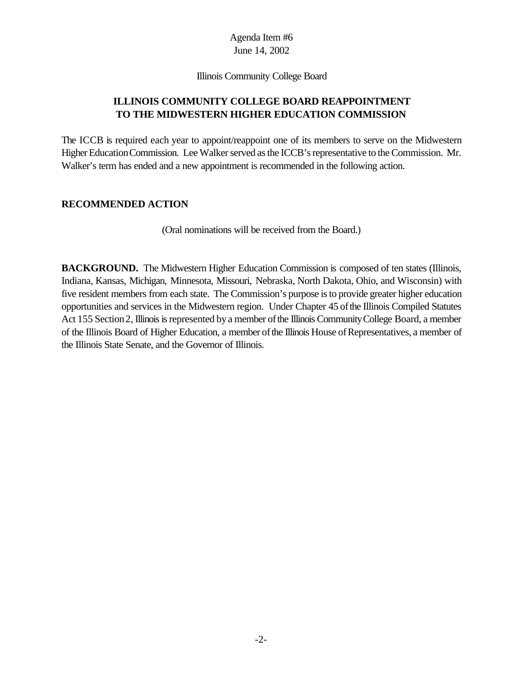#### Illinois Community College Board

## **ILLINOIS COMMUNITY COLLEGE BOARD REAPPOINTMENT TO THE MIDWESTERN HIGHER EDUCATION COMMISSION**

The ICCB is required each year to appoint/reappoint one of its members to serve on the Midwestern Higher Education Commission. Lee Walker served as the ICCB's representative to the Commission. Mr. Walker's term has ended and a new appointment is recommended in the following action.

#### **RECOMMENDED ACTION**

(Oral nominations will be received from the Board.)

**BACKGROUND.** The Midwestern Higher Education Commission is composed of ten states (Illinois, Indiana, Kansas, Michigan, Minnesota, Missouri, Nebraska, North Dakota, Ohio, and Wisconsin) with five resident members from each state. The Commission's purpose is to provide greater higher education opportunities and services in the Midwestern region. Under Chapter 45 ofthe Illinois Compiled Statutes Act 155 Section 2, Illinois is represented by a member of the Illinois Community College Board, a member of the Illinois Board of Higher Education, a member of the Illinois House of Representatives, a member of the Illinois State Senate, and the Governor of Illinois.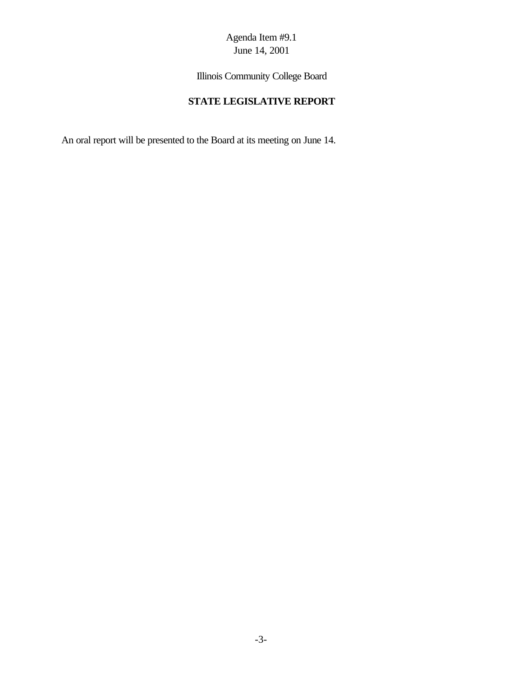Illinois Community College Board

## **STATE LEGISLATIVE REPORT**

An oral report will be presented to the Board at its meeting on June 14.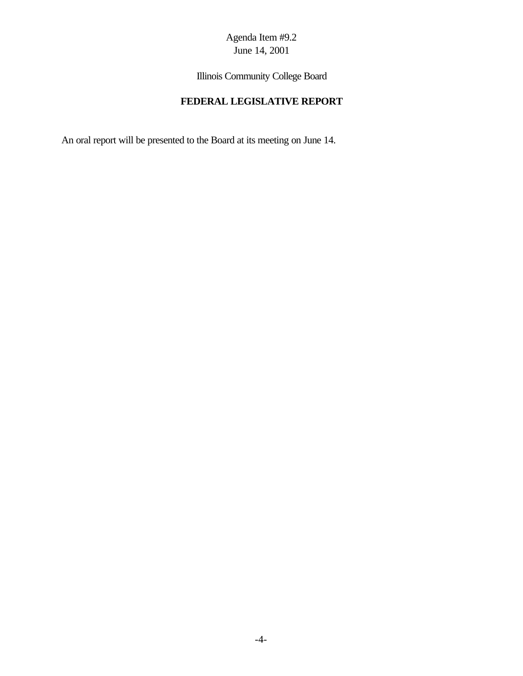## Agenda Item #9.2 June 14, 2001

Illinois Community College Board

## **FEDERAL LEGISLATIVE REPORT**

An oral report will be presented to the Board at its meeting on June 14.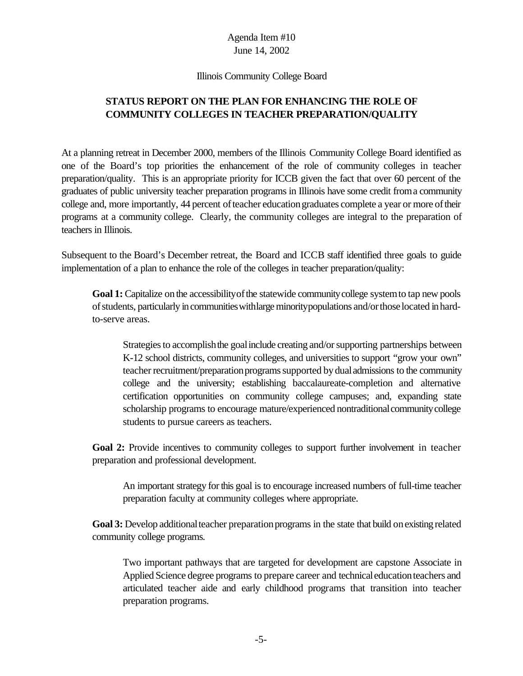#### Illinois Community College Board

## **STATUS REPORT ON THE PLAN FOR ENHANCING THE ROLE OF COMMUNITY COLLEGES IN TEACHER PREPARATION/QUALITY**

At a planning retreat in December 2000, members of the Illinois Community College Board identified as one of the Board's top priorities the enhancement of the role of community colleges in teacher preparation/quality. This is an appropriate priority for ICCB given the fact that over 60 percent of the graduates of public university teacher preparation programs in Illinois have some credit froma community college and, more importantly, 44 percent ofteacher educationgraduates complete a year or more oftheir programs at a community college. Clearly, the community colleges are integral to the preparation of teachers in Illinois.

Subsequent to the Board's December retreat, the Board and ICCB staff identified three goals to guide implementation of a plan to enhance the role of the colleges in teacher preparation/quality:

Goal 1: Capitalize on the accessibility of the statewide community college system to tap new pools of students, particularly in communities with large minority populations and/or those located in hardto-serve areas.

Strategies to accomplish the goal include creating and/or supporting partnerships between K-12 school districts, community colleges, and universities to support "grow your own" teacher recruitment/preparation programs supported by dual admissions to the community college and the university; establishing baccalaureate-completion and alternative certification opportunities on community college campuses; and, expanding state scholarship programs to encourage mature/experienced nontraditional community college students to pursue careers as teachers.

**Goal 2:** Provide incentives to community colleges to support further involvement in teacher preparation and professional development.

An important strategy forthis goal is to encourage increased numbers of full-time teacher preparation faculty at community colleges where appropriate.

**Goal 3:** Develop additional teacher preparation programs in the state that build on existing related community college programs.

Two important pathways that are targeted for development are capstone Associate in Applied Science degree programs to prepare career and technicaleducationteachers and articulated teacher aide and early childhood programs that transition into teacher preparation programs.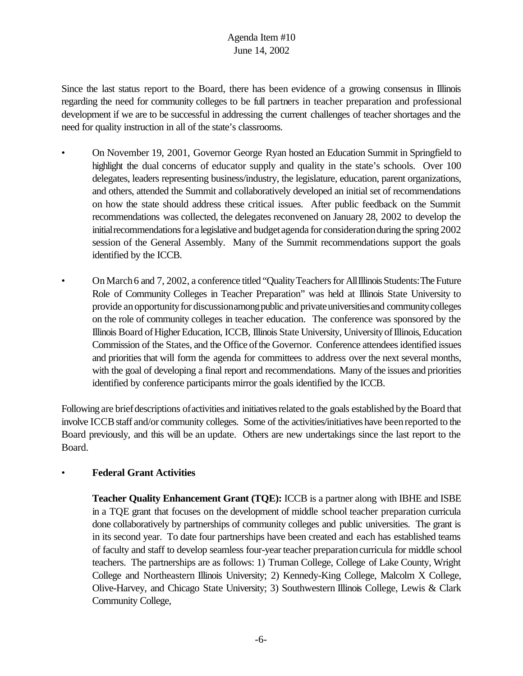Since the last status report to the Board, there has been evidence of a growing consensus in Illinois regarding the need for community colleges to be full partners in teacher preparation and professional development if we are to be successful in addressing the current challenges of teacher shortages and the need for quality instruction in all of the state's classrooms.

- On November 19, 2001, Governor George Ryan hosted an Education Summit in Springfield to highlight the dual concerns of educator supply and quality in the state's schools. Over 100 delegates, leaders representing business/industry, the legislature, education, parent organizations, and others, attended the Summit and collaboratively developed an initial set of recommendations on how the state should address these critical issues. After public feedback on the Summit recommendations was collected, the delegates reconvened on January 28, 2002 to develop the initial recommendations for a legislative and budget agenda for consideration during the spring 2002 session of the General Assembly. Many of the Summit recommendations support the goals identified by the ICCB.
- On March 6 and 7, 2002, a conference titled "Quality Teachers for All Illinois Students: The Future Role of Community Colleges in Teacher Preparation" was held at Illinois State University to provide an opportunity for discussionamong public and private universities and community colleges on the role of community colleges in teacher education. The conference was sponsored by the Illinois Board of Higher Education, ICCB, Illinois State University, University of Illinois, Education Commission of the States, and the Office of the Governor. Conference attendees identified issues and priorities that will form the agenda for committees to address over the next several months, with the goal of developing a final report and recommendations. Many of the issues and priorities identified by conference participants mirror the goals identified by the ICCB.

Following are briefdescriptions ofactivities and initiativesrelated to the goals established bythe Board that involve ICCB staff and/or community colleges. Some of the activities/initiatives have been reported to the Board previously, and this will be an update. Others are new undertakings since the last report to the Board.

#### • **Federal Grant Activities**

**Teacher Quality Enhancement Grant (TQE):** ICCB is a partner along with IBHE and ISBE in a TQE grant that focuses on the development of middle school teacher preparation curricula done collaboratively by partnerships of community colleges and public universities. The grant is in its second year. To date four partnerships have been created and each has established teams of faculty and staff to develop seamless four-yearteacher preparationcurricula for middle school teachers. The partnerships are as follows: 1) Truman College, College of Lake County, Wright College and Northeastern Illinois University; 2) Kennedy-King College, Malcolm X College, Olive-Harvey, and Chicago State University; 3) Southwestern Illinois College, Lewis & Clark Community College,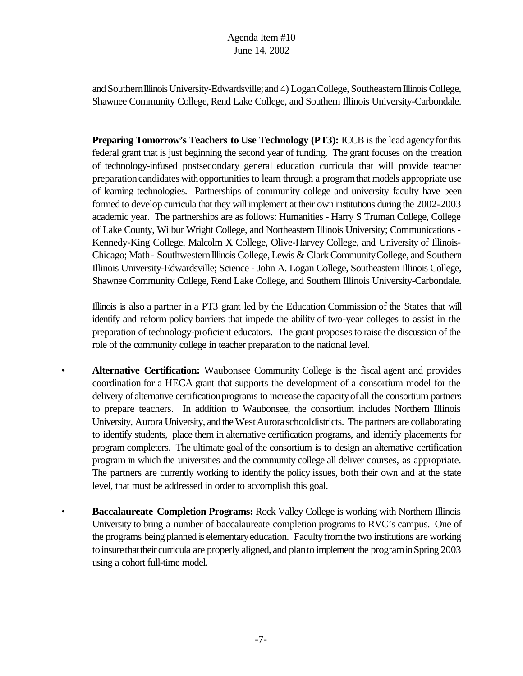and Southern Illinois University-Edwardsville; and 4) Logan College, Southeastern Illinois College, Shawnee Community College, Rend Lake College, and Southern Illinois University-Carbondale.

**Preparing Tomorrow's Teachers to Use Technology (PT3):** ICCB is the lead agency for this federal grant that is just beginning the second year of funding. The grant focuses on the creation of technology-infused postsecondary general education curricula that will provide teacher preparation candidates with opportunities to learn through a program that models appropriate use of learning technologies. Partnerships of community college and university faculty have been formed to develop curricula that they will implement at their own institutions during the 2002-2003 academic year. The partnerships are as follows: Humanities - Harry S Truman College, College of Lake County, Wilbur Wright College, and Northeastern Illinois University; Communications - Kennedy-King College, Malcolm X College, Olive-Harvey College, and University of Illinois-Chicago; Math- SouthwesternIllinois College, Lewis & ClarkCommunityCollege, and Southern Illinois University-Edwardsville; Science - John A. Logan College, Southeastern Illinois College, Shawnee Community College, Rend Lake College, and Southern Illinois University-Carbondale.

Illinois is also a partner in a PT3 grant led by the Education Commission of the States that will identify and reform policy barriers that impede the ability of two-year colleges to assist in the preparation of technology-proficient educators. The grant proposesto raise the discussion of the role of the community college in teacher preparation to the national level.

- **• Alternative Certification:** Waubonsee Community College is the fiscal agent and provides coordination for a HECA grant that supports the development of a consortium model for the delivery of alternative certification programs to increase the capacity of all the consortium partners to prepare teachers. In addition to Waubonsee, the consortium includes Northern Illinois University, Aurora University, and the West Aurora school districts. The partners are collaborating to identify students, place them in alternative certification programs, and identify placements for program completers. The ultimate goal of the consortium is to design an alternative certification program in which the universities and the community college all deliver courses, as appropriate. The partners are currently working to identify the policy issues, both their own and at the state level, that must be addressed in order to accomplish this goal.
- **Baccalaureate Completion Programs:** Rock Valley College is working with Northern Illinois University to bring a number of baccalaureate completion programs to RVC's campus. One of the programs being planned is elementaryeducation. Facultyfromthe two institutions are working to insure that their curricula are properly aligned, and plan to implement the program in Spring 2003 using a cohort full-time model.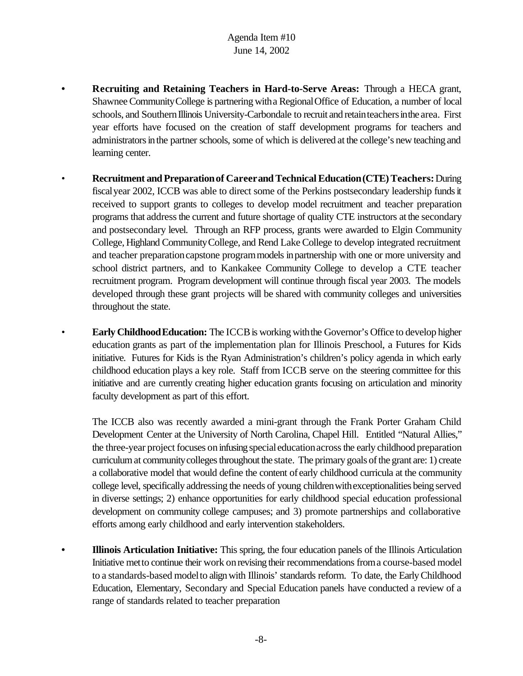- **• Recruiting and Retaining Teachers in Hard-to-Serve Areas:** Through a HECA grant, Shawnee Community College is partnering with a Regional Office of Education, a number of local schools, and Southern Illinois University-Carbondale to recruit and retain teachers in the area. First year efforts have focused on the creation of staff development programs for teachers and administrators in the partner schools, some of which is delivered at the college's new teaching and learning center.
- **Recruitment and Preparation of Career and Technical Education (CTE) Teachers: During** fiscalyear 2002, ICCB was able to direct some of the Perkins postsecondary leadership fundsit received to support grants to colleges to develop model recruitment and teacher preparation programs that addressthe current and future shortage of quality CTE instructors at the secondary and postsecondary level. Through an RFP process, grants were awarded to Elgin Community College, Highland CommunityCollege, and Rend Lake College to develop integrated recruitment and teacher preparation capstone program models in partnership with one or more university and school district partners, and to Kankakee Community College to develop a CTE teacher recruitment program. Program development will continue through fiscal year 2003. The models developed through these grant projects will be shared with community colleges and universities throughout the state.
- **Early Childhood Education:** The ICCB is working with the Governor's Office to develop higher education grants as part of the implementation plan for Illinois Preschool, a Futures for Kids initiative. Futures for Kids is the Ryan Administration's children's policy agenda in which early childhood education plays a key role. Staff from ICCB serve on the steering committee for this initiative and are currently creating higher education grants focusing on articulation and minority faculty development as part of this effort.

The ICCB also was recently awarded a mini-grant through the Frank Porter Graham Child Development Center at the University of North Carolina, Chapel Hill. Entitled "Natural Allies," the three-year project focuses on infusing special education across the early childhood preparation curriculum at community colleges throughout the state. The primary goals of the grant are: 1) create a collaborative model that would define the content of early childhood curricula at the community college level, specifically addressing the needs of young childrenwithexceptionalities being served in diverse settings; 2) enhance opportunities for early childhood special education professional development on community college campuses; and 3) promote partnerships and collaborative efforts among early childhood and early intervention stakeholders.

**• Illinois Articulation Initiative:** This spring, the four education panels of the Illinois Articulation Initiative metto continue their work onrevising their recommendations froma course-based model to a standards-based model to align with Illinois' standards reform. To date, the Early Childhood Education, Elementary, Secondary and Special Education panels have conducted a review of a range of standards related to teacher preparation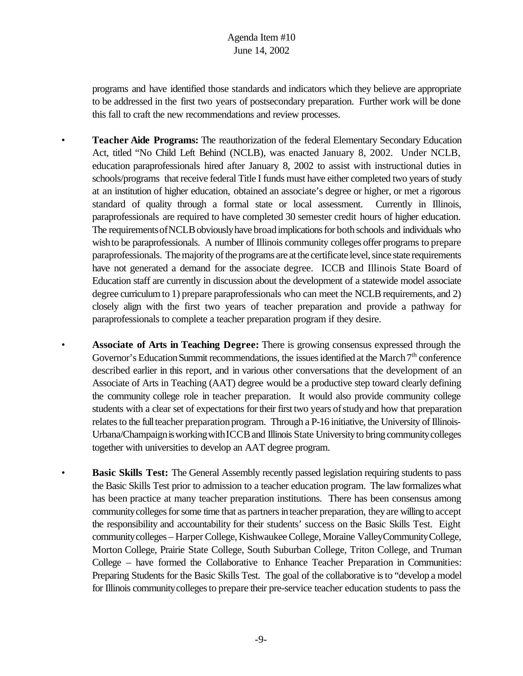programs and have identified those standards and indicators which they believe are appropriate to be addressed in the first two years of postsecondary preparation. Further work will be done this fall to craft the new recommendations and review processes.

- **Teacher Aide Programs:** The reauthorization of the federal Elementary Secondary Education Act, titled "No Child Left Behind (NCLB), was enacted January 8, 2002. Under NCLB, education paraprofessionals hired after January 8, 2002 to assist with instructional duties in schools/programs that receive federal Title I funds must have either completed two years of study at an institution of higher education, obtained an associate's degree or higher, or met a rigorous standard of quality through a formal state or local assessment. Currently in Illinois, paraprofessionals are required to have completed 30 semester credit hours of higher education. The requirements of NCLB obviously have broad implications for both schools and individuals who wish to be paraprofessionals. A number of Illinois community colleges offer programs to prepare paraprofessionals. The majority of the programs are at the certificate level, since state requirements have not generated a demand for the associate degree. ICCB and Illinois State Board of Education staff are currently in discussion about the development of a statewide model associate degree curriculum to 1) prepare paraprofessionals who can meet the NCLB requirements, and 2) closely align with the first two years of teacher preparation and provide a pathway for paraprofessionals to complete a teacher preparation program if they desire.
- **Associate of Arts in Teaching Degree:** There is growing consensus expressed through the Governor's Education Summit recommendations, the issues identified at the March 7<sup>th</sup> conference described earlier in this report, and in various other conversations that the development of an Associate of Arts in Teaching (AAT) degree would be a productive step toward clearly defining the community college role in teacher preparation. It would also provide community college students with a clear set of expectations for their first two years of study and how that preparation relates to the full teacher preparation program. Through a P-16 initiative, the University of Illinois-Urbana/Champaign is working with ICCB and Illinois State University to bring community colleges together with universities to develop an AAT degree program.
- **Basic Skills Test:** The General Assembly recently passed legislation requiring students to pass the Basic Skills Test prior to admission to a teacher education program. The lawformalizeswhat has been practice at many teacher preparation institutions. There has been consensus among community colleges for some time that as partners in teacher preparation, they are willing to accept the responsibility and accountability for their students' success on the Basic Skills Test. Eight communitycolleges – Harper College, KishwaukeeCollege, Moraine ValleyCommunityCollege, Morton College, Prairie State College, South Suburban College, Triton College, and Truman College – have formed the Collaborative to Enhance Teacher Preparation in Communities: Preparing Students for the Basic Skills Test. The goal of the collaborative is to "develop a model" for Illinois community colleges to prepare their pre-service teacher education students to pass the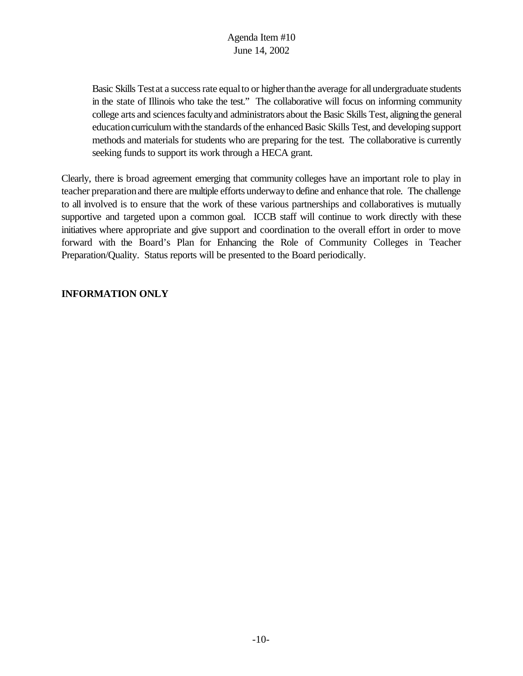Basic Skills Test at a success rate equal to or higher than the average for all undergraduate students in the state of Illinois who take the test." The collaborative will focus on informing community college arts and sciencesfacultyand administrators about the Basic Skills Test, aligningthe general education curriculum with the standards of the enhanced Basic Skills Test, and developing support methods and materials for students who are preparing for the test. The collaborative is currently seeking funds to support its work through a HECA grant.

Clearly, there is broad agreement emerging that community colleges have an important role to play in teacher preparationand there are multiple efforts underwayto define and enhance thatrole. The challenge to all involved is to ensure that the work of these various partnerships and collaboratives is mutually supportive and targeted upon a common goal. ICCB staff will continue to work directly with these initiatives where appropriate and give support and coordination to the overall effort in order to move forward with the Board's Plan for Enhancing the Role of Community Colleges in Teacher Preparation/Quality. Status reports will be presented to the Board periodically.

## **INFORMATION ONLY**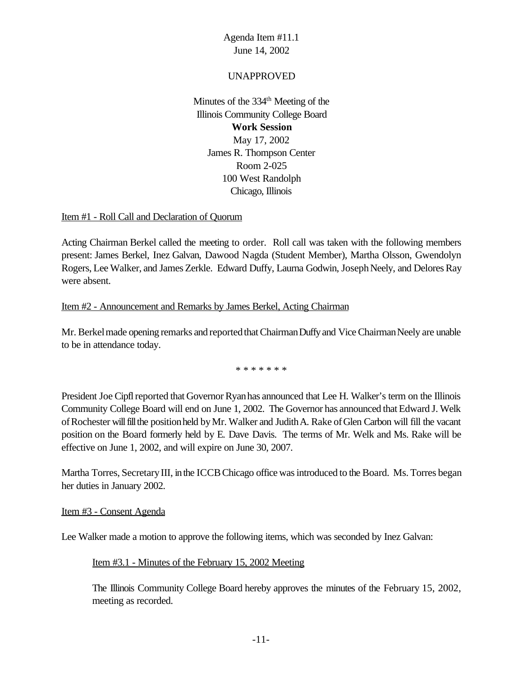#### UNAPPROVED

Minutes of the  $334<sup>th</sup>$  Meeting of the Illinois Community College Board **Work Session** May 17, 2002 James R. Thompson Center Room 2-025 100 West Randolph Chicago, Illinois

#### Item #1 - Roll Call and Declaration of Quorum

Acting Chairman Berkel called the meeting to order. Roll call was taken with the following members present: James Berkel, Inez Galvan, Dawood Nagda (Student Member), Martha Olsson, Gwendolyn Rogers, Lee Walker, and James Zerkle. Edward Duffy, Laurna Godwin, Joseph Neely, and Delores Ray were absent.

#### Item #2 - Announcement and Remarks by James Berkel, Acting Chairman

Mr. Berkel made opening remarks and reported that Chairman Duffy and Vice Chairman Neely are unable to be in attendance today.

\* \* \* \* \* \* \*

President Joe Cipfl reported that Governor Ryan has announced that Lee H. Walker's term on the Illinois Community College Board will end on June 1, 2002. The Governor has announced that Edward J. Welk of Rochester will fill the position held by Mr. Walker and Judith A. Rake of Glen Carbon will fill the vacant position on the Board formerly held by E. Dave Davis. The terms of Mr. Welk and Ms. Rake will be effective on June 1, 2002, and will expire on June 30, 2007.

Martha Torres, Secretary III, in the ICCB Chicago office was introduced to the Board. Ms. Torres began her duties in January 2002.

#### Item #3 - Consent Agenda

Lee Walker made a motion to approve the following items, which was seconded by Inez Galvan:

#### Item #3.1 - Minutes of the February 15, 2002 Meeting

The Illinois Community College Board hereby approves the minutes of the February 15, 2002, meeting as recorded.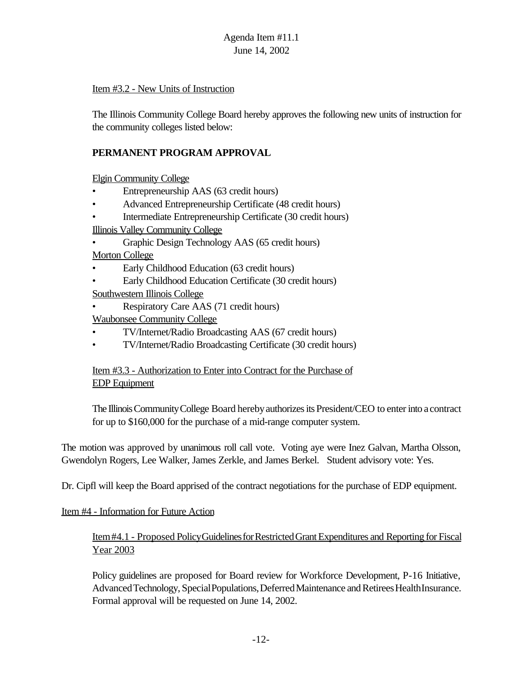#### Item #3.2 - New Units of Instruction

The Illinois Community College Board hereby approves the following new units of instruction for the community colleges listed below:

## **PERMANENT PROGRAM APPROVAL**

Elgin Community College

- Entrepreneurship AAS (63 credit hours)
- Advanced Entrepreneurship Certificate (48 credit hours)
- Intermediate Entrepreneurship Certificate (30 credit hours)

Illinois Valley Community College

- Graphic Design Technology AAS (65 credit hours) Morton College
- Early Childhood Education (63 credit hours)
- Early Childhood Education Certificate (30 credit hours)
- Southwestern Illinois College
- Respiratory Care AAS (71 credit hours)
- Waubonsee Community College
- TV/Internet/Radio Broadcasting AAS (67 credit hours)
- TV/Internet/Radio Broadcasting Certificate (30 credit hours)

#### Item #3.3 - Authorization to Enter into Contract for the Purchase of EDP Equipment

The IllinoisCommunityCollege Board herebyauthorizesits President/CEO to enterinto a contract for up to \$160,000 for the purchase of a mid-range computer system.

The motion was approved by unanimous roll call vote. Voting aye were Inez Galvan, Martha Olsson, Gwendolyn Rogers, Lee Walker, James Zerkle, and James Berkel. Student advisory vote: Yes.

Dr. Cipfl will keep the Board apprised of the contract negotiations for the purchase of EDP equipment.

#### Item #4 - Information for Future Action

## Item#4.1 - Proposed Policy Guidelines for Restricted Grant Expenditures and Reporting for Fiscal Year 2003

Policy guidelines are proposed for Board review for Workforce Development, P-16 Initiative, Advanced Technology, Special Populations, Deferred Maintenance and Retirees Health Insurance. Formal approval will be requested on June 14, 2002.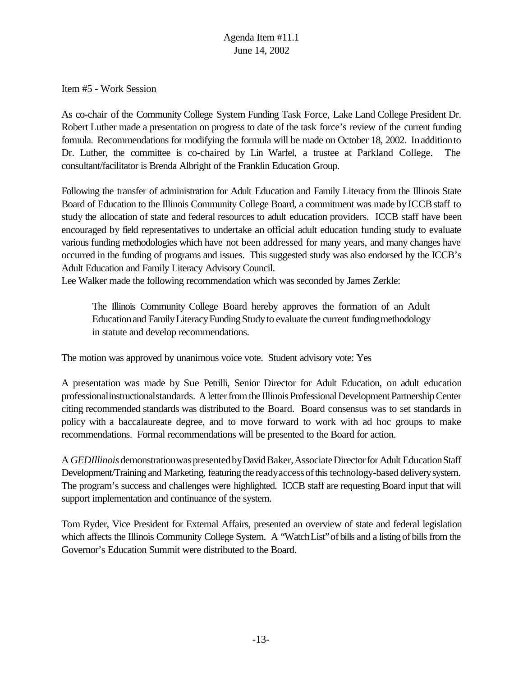#### Item #5 - Work Session

As co-chair of the Community College System Funding Task Force, Lake Land College President Dr. Robert Luther made a presentation on progress to date of the task force's review of the current funding formula. Recommendations for modifying the formula will be made on October 18, 2002. In addition to Dr. Luther, the committee is co-chaired by Lin Warfel, a trustee at Parkland College. The consultant/facilitator is Brenda Albright of the Franklin Education Group.

Following the transfer of administration for Adult Education and Family Literacy from the Illinois State Board of Education to the Illinois Community College Board, a commitment was made byICCBstaff to study the allocation of state and federal resources to adult education providers. ICCB staff have been encouraged by field representatives to undertake an official adult education funding study to evaluate various funding methodologies which have not been addressed for many years, and many changes have occurred in the funding of programs and issues. This suggested study was also endorsed by the ICCB's Adult Education and Family Literacy Advisory Council.

Lee Walker made the following recommendation which was seconded by James Zerkle:

The Illinois Community College Board hereby approves the formation of an Adult Education and Family Literacy Funding Study to evaluate the current funding methodology in statute and develop recommendations.

The motion was approved by unanimous voice vote. Student advisory vote: Yes

A presentation was made by Sue Petrilli, Senior Director for Adult Education, on adult education professionalinstructionalstandards. A letter from the Illinois Professional Development Partnership Center citing recommended standards was distributed to the Board. Board consensus was to set standards in policy with a baccalaureate degree, and to move forward to work with ad hoc groups to make recommendations. Formal recommendations will be presented to the Board for action.

A *GEDIllinois* demonstration was presented by David Baker, Associate Director for Adult Education Staff Development/Training and Marketing, featuring the ready access of this technology-based delivery system. The program's success and challenges were highlighted. ICCB staff are requesting Board input that will support implementation and continuance of the system.

Tom Ryder, Vice President for External Affairs, presented an overview of state and federal legislation which affects the Illinois Community College System. A "Watch List" of bills and a listing of bills from the Governor's Education Summit were distributed to the Board.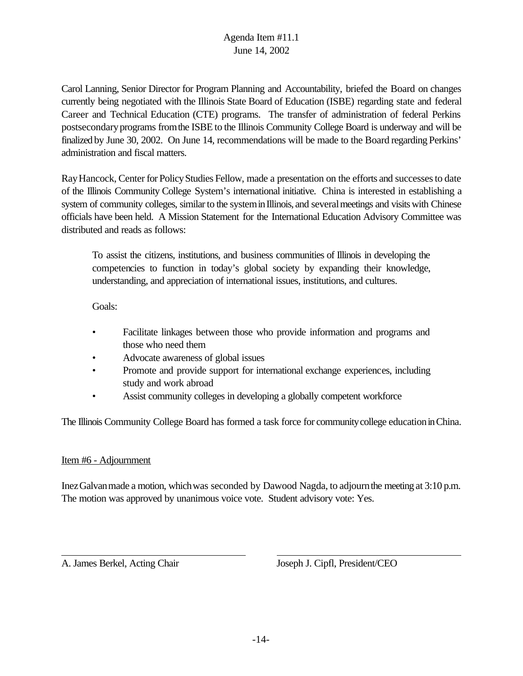Carol Lanning, Senior Director for Program Planning and Accountability, briefed the Board on changes currently being negotiated with the Illinois State Board of Education (ISBE) regarding state and federal Career and Technical Education (CTE) programs. The transfer of administration of federal Perkins postsecondaryprograms fromthe ISBE to the Illinois Community College Board is underway and will be finalized by June 30, 2002. On June 14, recommendations will be made to the Board regarding Perkins' administration and fiscal matters.

RayHancock, Center for PolicyStudies Fellow, made a presentation on the efforts and successesto date of the Illinois Community College System's international initiative. China is interested in establishing a system of community colleges, similar to the system in Illinois, and several meetings and visits with Chinese officials have been held. A Mission Statement for the International Education Advisory Committee was distributed and reads as follows:

To assist the citizens, institutions, and business communities of Illinois in developing the competencies to function in today's global society by expanding their knowledge, understanding, and appreciation of international issues, institutions, and cultures.

Goals:

- Facilitate linkages between those who provide information and programs and those who need them
- Advocate awareness of global issues
- Promote and provide support for international exchange experiences, including study and work abroad
- Assist community colleges in developing a globally competent workforce

The Illinois Community College Board has formed a task force for communitycollege educationinChina.

#### Item #6 - Adjournment

InezGalvanmade a motion, whichwas seconded by Dawood Nagda, to adjournthe meeting at 3:10 p.m. The motion was approved by unanimous voice vote. Student advisory vote: Yes.

A. James Berkel, Acting Chair Joseph J. Cipfl, President/CEO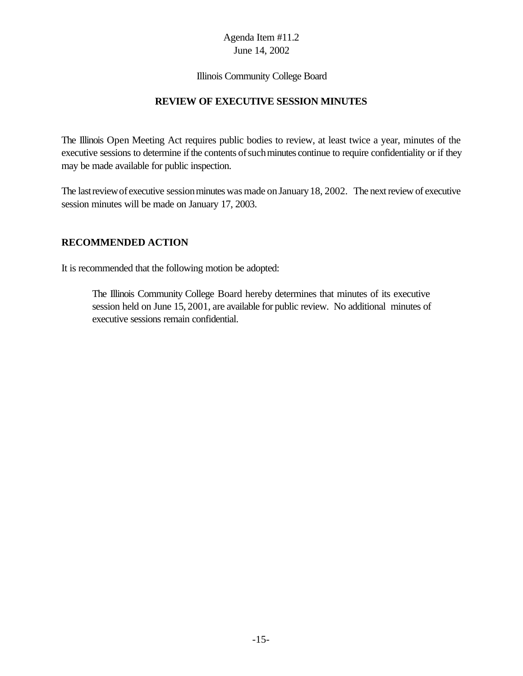#### Illinois Community College Board

#### **REVIEW OF EXECUTIVE SESSION MINUTES**

The Illinois Open Meeting Act requires public bodies to review, at least twice a year, minutes of the executive sessions to determine if the contents of such minutes continue to require confidentiality or if they may be made available for public inspection.

The last review of executive session minutes was made on January 18, 2002. The next review of executive session minutes will be made on January 17, 2003.

#### **RECOMMENDED ACTION**

It is recommended that the following motion be adopted:

The Illinois Community College Board hereby determines that minutes of its executive session held on June 15, 2001, are available for public review. No additional minutes of executive sessions remain confidential.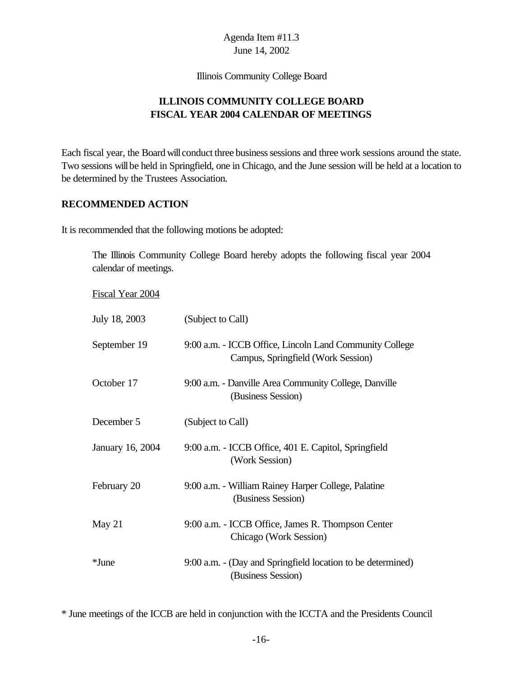Illinois Community College Board

## **ILLINOIS COMMUNITY COLLEGE BOARD FISCAL YEAR 2004 CALENDAR OF MEETINGS**

Each fiscal year, the Board will conduct three business sessions and three work sessions around the state. Two sessions will be held in Springfield, one in Chicago, and the June session will be held at a location to be determined by the Trustees Association.

#### **RECOMMENDED ACTION**

It is recommended that the following motions be adopted:

The Illinois Community College Board hereby adopts the following fiscal year 2004 calendar of meetings.

Fiscal Year 2004

| July 18, 2003    | (Subject to Call)                                                                             |
|------------------|-----------------------------------------------------------------------------------------------|
| September 19     | 9:00 a.m. - ICCB Office, Lincoln Land Community College<br>Campus, Springfield (Work Session) |
| October 17       | 9:00 a.m. - Danville Area Community College, Danville<br>(Business Session)                   |
| December 5       | (Subject to Call)                                                                             |
| January 16, 2004 | 9:00 a.m. - ICCB Office, 401 E. Capitol, Springfield<br>(Work Session)                        |
| February 20      | 9:00 a.m. - William Rainey Harper College, Palatine<br>(Business Session)                     |
| May 21           | 9:00 a.m. - ICCB Office, James R. Thompson Center<br>Chicago (Work Session)                   |
| *June            | 9:00 a.m. - (Day and Springfield location to be determined)<br>(Business Session)             |

\* June meetings of the ICCB are held in conjunction with the ICCTA and the Presidents Council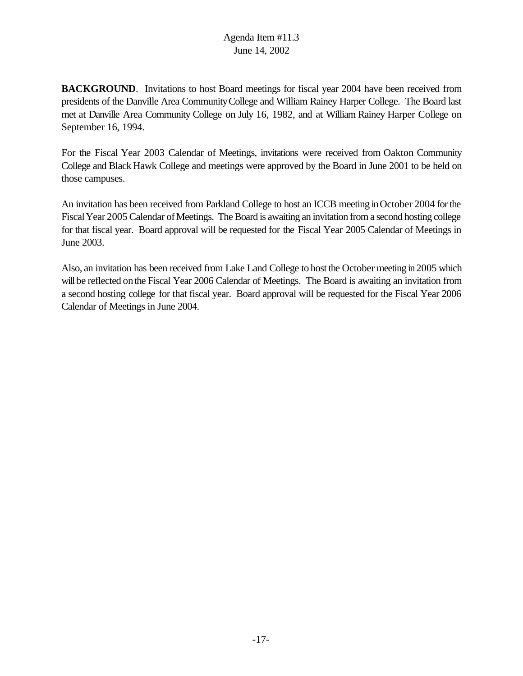**BACKGROUND**. Invitations to host Board meetings for fiscal year 2004 have been received from presidents of the Danville Area CommunityCollege and William Rainey Harper College. The Board last met at Danville Area Community College on July 16, 1982, and at William Rainey Harper College on September 16, 1994.

For the Fiscal Year 2003 Calendar of Meetings, invitations were received from Oakton Community College and Black Hawk College and meetings were approved by the Board in June 2001 to be held on those campuses.

An invitation has been received from Parkland College to host an ICCB meeting inOctober 2004 forthe Fiscal Year 2005 Calendar of Meetings. The Board is awaiting an invitation from a second hosting college for that fiscal year. Board approval will be requested for the Fiscal Year 2005 Calendar of Meetings in June 2003.

Also, an invitation has been received from Lake Land College to host the October meeting in2005 which will be reflected on the Fiscal Year 2006 Calendar of Meetings. The Board is awaiting an invitation from a second hosting college for that fiscal year. Board approval will be requested for the Fiscal Year 2006 Calendar of Meetings in June 2004.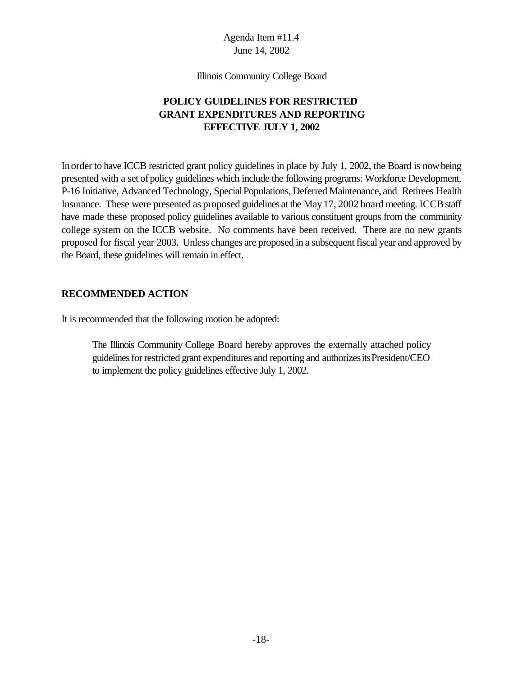Illinois Community College Board

## **POLICY GUIDELINES FOR RESTRICTED GRANT EXPENDITURES AND REPORTING EFFECTIVE JULY 1, 2002**

Inorder to have ICCB restricted grant policy guidelines in place by July 1, 2002, the Board is nowbeing presented with a set of policy guidelines which include the following programs: Workforce Development, P-16 Initiative, Advanced Technology, Special Populations, Deferred Maintenance, and Retirees Health Insurance. These were presented as proposed guidelines at the May 17, 2002 board meeting. ICCB staff have made these proposed policy guidelines available to various constituent groups from the community college system on the ICCB website. No comments have been received. There are no new grants proposed for fiscal year 2003. Unless changes are proposed in a subsequent fiscal year and approved by the Board, these guidelines will remain in effect.

#### **RECOMMENDED ACTION**

It is recommended that the following motion be adopted:

The Illinois Community College Board hereby approves the externally attached policy guidelines for restricted grant expenditures and reporting and authorizes its President/CEO to implement the policy guidelines effective July 1, 2002.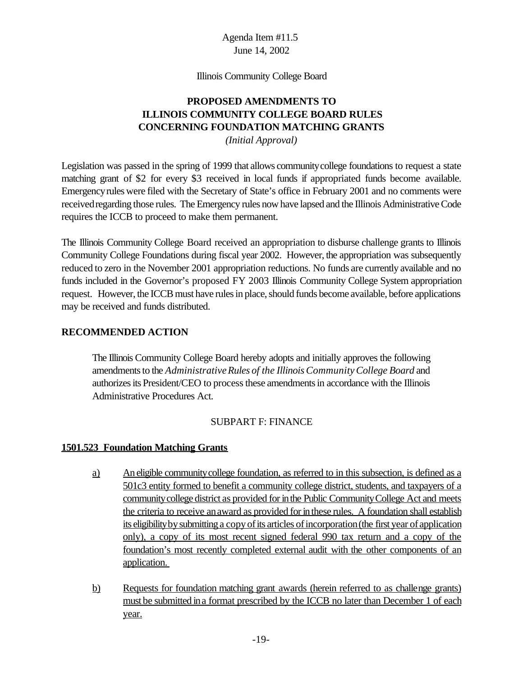Illinois Community College Board

## **PROPOSED AMENDMENTS TO ILLINOIS COMMUNITY COLLEGE BOARD RULES CONCERNING FOUNDATION MATCHING GRANTS**

*(Initial Approval)*

Legislation was passed in the spring of 1999 that allows communitycollege foundations to request a state matching grant of \$2 for every \$3 received in local funds if appropriated funds become available. Emergencyrules were filed with the Secretary of State's office in February 2001 and no comments were receivedregarding those rules. The Emergency rules now have lapsed and the Illinois Administrative Code requires the ICCB to proceed to make them permanent.

The Illinois Community College Board received an appropriation to disburse challenge grants to Illinois Community College Foundations during fiscal year 2002. However, the appropriation was subsequently reduced to zero in the November 2001 appropriation reductions. No funds are currently available and no funds included in the Governor's proposed FY 2003 Illinois Community College System appropriation request. However, the ICCB must have rules in place, should funds become available, before applications may be received and funds distributed.

#### **RECOMMENDED ACTION**

The Illinois Community College Board hereby adopts and initially approves the following amendments to the *Administrative Rules of the Illinois Community College Board* and authorizesits President/CEO to processthese amendmentsin accordance with the Illinois Administrative Procedures Act.

#### SUBPART F: FINANCE

#### **1501.523 Foundation Matching Grants**

- a) An eligible communitycollege foundation, as referred to in this subsection, is defined as a 501c3 entity formed to benefit a community college district, students, and taxpayers of a community college district as provided for in the Public Community College Act and meets the criteria to receive an award as provided for in these rules. A foundation shall establish its eligibility by submitting a copy of its articles of incorporation (the first year of application only), a copy of its most recent signed federal 990 tax return and a copy of the foundation's most recently completed external audit with the other components of an application.
- b) Requests for foundation matching grant awards (herein referred to as challenge grants) must be submitted ina format prescribed by the ICCB no later than December 1 of each year.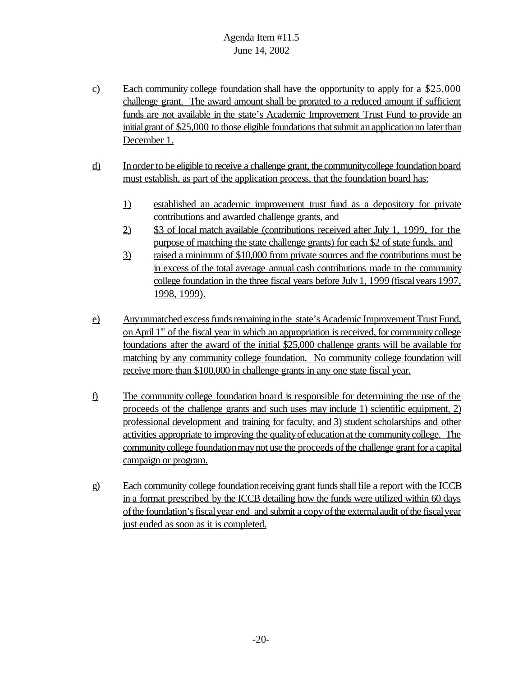- c) Each community college foundation shall have the opportunity to apply for a \$25,000 challenge grant. The award amount shall be prorated to a reduced amount if sufficient funds are not available in the state's Academic Improvement Trust Fund to provide an initial grant of \$25,000 to those eligible foundations that submit an application no later than December 1.
- d) Inorder to be eligible to receive a challenge grant, the communitycollege foundationboard must establish, as part of the application process, that the foundation board has:
	- 1) established an academic improvement trust fund as a depository for private contributions and awarded challenge grants, and
	- 2) \$3 of local match available (contributions received after July 1, 1999, for the purpose of matching the state challenge grants) for each \$2 of state funds, and
	- 3) raised a minimum of \$10,000 from private sources and the contributions must be in excess of the total average annual cash contributions made to the community college foundation in the three fiscal years before July 1, 1999 (fiscalyears 1997, 1998, 1999).
- e) Any unmatched excess funds remaining in the state's Academic Improvement Trust Fund, on April 1<sup>st</sup> of the fiscal year in which an appropriation is received, for community college foundations after the award of the initial \$25,000 challenge grants will be available for matching by any community college foundation. No community college foundation will receive more than \$100,000 in challenge grants in any one state fiscal year.
- f) The community college foundation board is responsible for determining the use of the proceeds of the challenge grants and such uses may include 1) scientific equipment, 2) professional development and training for faculty, and 3) student scholarships and other activities appropriate to improving the qualityof educationat the communitycollege. The communitycollege foundationmaynot use the proceeds ofthe challenge grant for a capital campaign or program.
- g) Each community college foundation receiving grant funds shall file a report with the ICCB in a format prescribed by the ICCB detailing how the funds were utilized within 60 days ofthe foundation'sfiscalyear end and submit a copyofthe externalaudit ofthe fiscalyear just ended as soon as it is completed.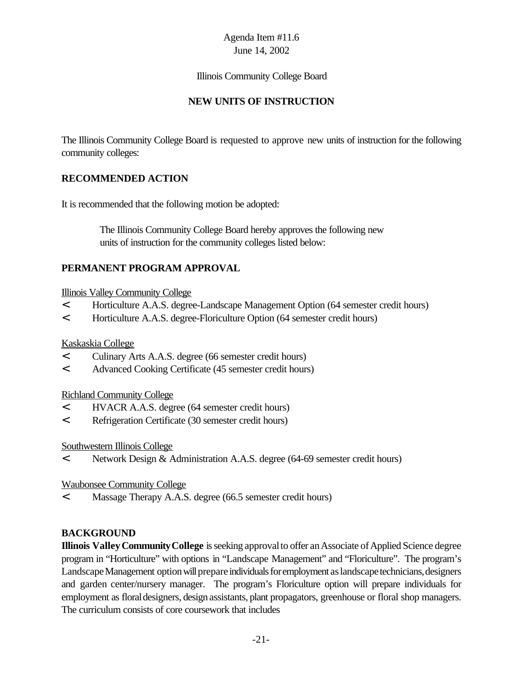#### Illinois Community College Board

## **NEW UNITS OF INSTRUCTION**

The Illinois Community College Board is requested to approve new units of instruction for the following community colleges:

## **RECOMMENDED ACTION**

It is recommended that the following motion be adopted:

 The Illinois Community College Board hereby approves the following new units of instruction for the community colleges listed below:

## **PERMANENT PROGRAM APPROVAL**

#### Illinois Valley Community College

- < Horticulture A.A.S. degree-Landscape Management Option (64 semester credit hours)
- < Horticulture A.A.S. degree-Floriculture Option (64 semester credit hours)

#### Kaskaskia College

- < Culinary Arts A.A.S. degree (66 semester credit hours)
- < Advanced Cooking Certificate (45 semester credit hours)

#### Richland Community College

- < HVACR A.A.S. degree (64 semester credit hours)
- < Refrigeration Certificate (30 semester credit hours)

#### Southwestern Illinois College

< Network Design & Administration A.A.S. degree (64-69 semester credit hours)

#### Waubonsee Community College

< Massage Therapy A.A.S. degree (66.5 semester credit hours)

#### **BACKGROUND**

**Illinois Valley Community College** is seeking approval to offer an Associate of Applied Science degree program in "Horticulture" with options in "Landscape Management" and "Floriculture". The program's Landscape Management option will prepare individuals for employment as landscape technicians, designers and garden center/nursery manager. The program's Floriculture option will prepare individuals for employment as floral designers, design assistants, plant propagators, greenhouse or floral shop managers. The curriculum consists of core coursework that includes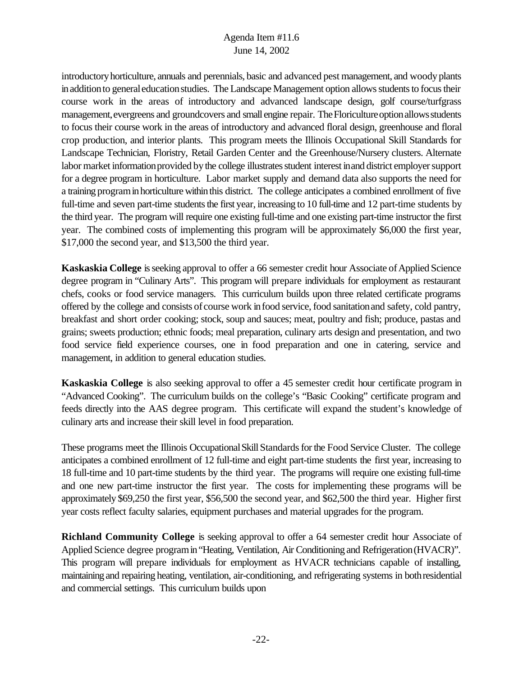introductoryhorticulture, annuals and perennials, basic and advanced pest management, and woodyplants in addition to general education studies. The Landscape Management option allows students to focus their course work in the areas of introductory and advanced landscape design, golf course/turfgrass management, evergreens and groundcovers and small engine repair. The Floriculture option allows students to focus their course work in the areas of introductory and advanced floral design, greenhouse and floral crop production, and interior plants. This program meets the Illinois Occupational Skill Standards for Landscape Technician, Floristry, Retail Garden Center and the Greenhouse/Nursery clusters. Alternate labor market information provided by the college illustrates student interest in and district employer support for a degree program in horticulture. Labor market supply and demand data also supports the need for a training programinhorticulture within this district. The college anticipates a combined enrollment of five full-time and seven part-time students the first year, increasing to 10 full-time and 12 part-time students by the third year. The program will require one existing full-time and one existing part-time instructor the first year. The combined costs of implementing this program will be approximately \$6,000 the first year, \$17,000 the second year, and \$13,500 the third year.

**Kaskaskia College** is seeking approval to offer a 66 semester credit hour Associate of Applied Science degree program in "Culinary Arts". This program will prepare individuals for employment as restaurant chefs, cooks or food service managers. This curriculum builds upon three related certificate programs offered by the college and consists of course work infood service,food sanitationand safety, cold pantry, breakfast and short order cooking; stock, soup and sauces; meat, poultry and fish; produce, pastas and grains; sweets production; ethnic foods; meal preparation, culinary arts design and presentation, and two food service field experience courses, one in food preparation and one in catering, service and management, in addition to general education studies.

**Kaskaskia College** is also seeking approval to offer a 45 semester credit hour certificate program in "Advanced Cooking". The curriculum builds on the college's "Basic Cooking" certificate program and feeds directly into the AAS degree program. This certificate will expand the student's knowledge of culinary arts and increase their skill level in food preparation.

These programs meet the Illinois Occupational Skill Standards for the Food Service Cluster. The college anticipates a combined enrollment of 12 full-time and eight part-time students the first year, increasing to 18 full-time and 10 part-time students by the third year. The programs will require one existing full-time and one new part-time instructor the first year. The costs for implementing these programs will be approximately \$69,250 the first year, \$56,500 the second year, and \$62,500 the third year. Higher first year costs reflect faculty salaries, equipment purchases and material upgrades for the program.

**Richland Community College** is seeking approval to offer a 64 semester credit hour Associate of Applied Science degree programin"Heating, Ventilation, Air Conditioning and Refrigeration(HVACR)". This program will prepare individuals for employment as HVACR technicians capable of installing, maintaining and repairing heating, ventilation, air-conditioning, and refrigerating systems in bothresidential and commercial settings. This curriculum builds upon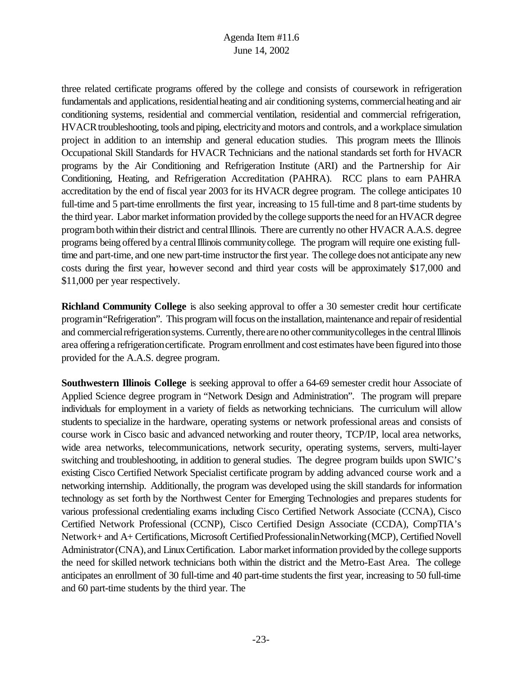three related certificate programs offered by the college and consists of coursework in refrigeration fundamentals and applications, residential heating and air conditioning systems, commercial heating and air conditioning systems, residential and commercial ventilation, residential and commercial refrigeration, HVACR troubleshooting, tools and piping, electricity and motors and controls, and a workplace simulation project in addition to an internship and general education studies. This program meets the Illinois Occupational Skill Standards for HVACR Technicians and the national standards set forth for HVACR programs by the Air Conditioning and Refrigeration Institute (ARI) and the Partnership for Air Conditioning, Heating, and Refrigeration Accreditation (PAHRA). RCC plans to earn PAHRA accreditation by the end of fiscal year 2003 for its HVACR degree program. The college anticipates 10 full-time and 5 part-time enrollments the first year, increasing to 15 full-time and 8 part-time students by the third year. Labor market information provided by the college supports the need for an HVACR degree program both within their district and central Illinois. There are currently no other HVACR A.A.S. degree programs being offered by a central Illinois community college. The program will require one existing fulltime and part-time, and one new part-time instructor the first year. The college does not anticipate any new costs during the first year, however second and third year costs will be approximately \$17,000 and \$11,000 per year respectively.

**Richland Community College** is also seeking approval to offer a 30 semester credit hour certificate programin"Refrigeration". This program will focus on the installation, maintenance and repair of residential and commercial refrigeration systems. Currently, there are no other community colleges in the central Illinois area offering a refrigeration certificate. Program enrollment and cost estimates have been figured into those provided for the A.A.S. degree program.

**Southwestern Illinois College** is seeking approval to offer a 64-69 semester credit hour Associate of Applied Science degree program in "Network Design and Administration". The program will prepare individuals for employment in a variety of fields as networking technicians. The curriculum will allow students to specialize in the hardware, operating systems or network professional areas and consists of course work in Cisco basic and advanced networking and router theory, TCP/IP, local area networks, wide area networks, telecommunications, network security, operating systems, servers, multi-layer switching and troubleshooting, in addition to general studies. The degree program builds upon SWIC's existing Cisco Certified Network Specialist certificate program by adding advanced course work and a networking internship. Additionally, the program was developed using the skill standards for information technology as set forth by the Northwest Center for Emerging Technologies and prepares students for various professional credentialing exams including Cisco Certified Network Associate (CCNA), Cisco Certified Network Professional (CCNP), Cisco Certified Design Associate (CCDA), CompTIA's Network+ and A+ Certifications, Microsoft Certified Professional in Networking (MCP), Certified Novell Administrator (CNA), and Linux Certification. Labor market information provided by the college supports the need for skilled network technicians both within the district and the Metro-East Area. The college anticipates an enrollment of 30 full-time and 40 part-time students the first year, increasing to 50 full-time and 60 part-time students by the third year. The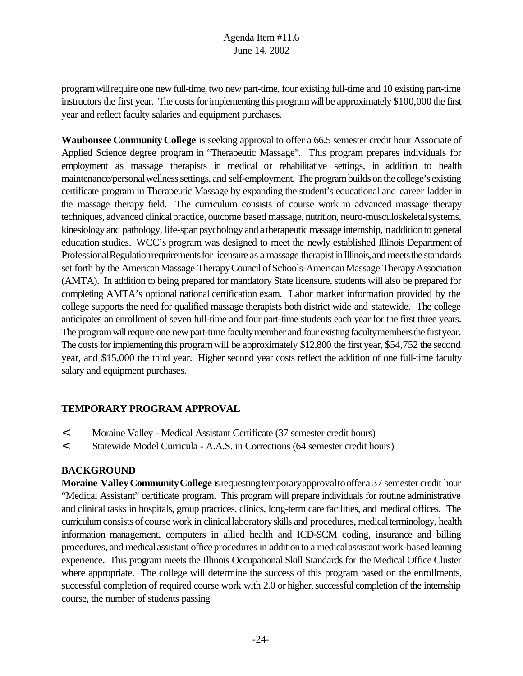program will require one new full-time, two new part-time, four existing full-time and 10 existing part-time instructors the first year. The costs for implementing this program will be approximately \$100,000 the first year and reflect faculty salaries and equipment purchases.

**Waubonsee Community College** is seeking approval to offer a 66.5 semester credit hour Associate of Applied Science degree program in "Therapeutic Massage". This program prepares individuals for employment as massage therapists in medical or rehabilitative settings, in addition to health maintenance/personal wellness settings, and self-employment. The program builds on the college's existing certificate program in Therapeutic Massage by expanding the student's educational and career ladder in the massage therapy field. The curriculum consists of course work in advanced massage therapy techniques, advanced clinical practice, outcome based massage, nutrition, neuro-musculoskeletal systems, kinesiology and pathology, life-span psychology and a therapeutic massage internship, inaddition to general education studies. WCC's program was designed to meet the newly established Illinois Department of Professional Regulation requirements for licensure as a massage therapist in Illinois, and meets the standards set forth by the American Massage Therapy Council of Schools-American Massage Therapy Association (AMTA). In addition to being prepared for mandatory State licensure, students will also be prepared for completing AMTA's optional national certification exam. Labor market information provided by the college supports the need for qualified massage therapists both district wide and statewide. The college anticipates an enrollment of seven full-time and four part-time students each year for the first three years. The program will require one new part-time faculty member and four existing faculty members the first year. The costs for implementing this program will be approximately \$12,800 the first year, \$54,752 the second year, and \$15,000 the third year. Higher second year costs reflect the addition of one full-time faculty salary and equipment purchases.

## **TEMPORARY PROGRAM APPROVAL**

- < Moraine Valley Medical Assistant Certificate (37 semester credit hours)
- < Statewide Model Curricula A.A.S. in Corrections (64 semester credit hours)

#### **BACKGROUND**

**Moraine Valley Community College** is requesting temporary approval to offer a 37 semester credit hour "Medical Assistant" certificate program. This program will prepare individuals for routine administrative and clinical tasks in hospitals, group practices, clinics, long-term care facilities, and medical offices. The curriculumconsists of course work in clinicallaboratoryskills and procedures, medicalterminology, health information management, computers in allied health and ICD-9CM coding, insurance and billing procedures, and medical assistant office procedures in addition to a medical assistant work-based learning experience. This program meets the Illinois Occupational Skill Standards for the Medical Office Cluster where appropriate. The college will determine the success of this program based on the enrollments, successful completion of required course work with 2.0 or higher, successful completion of the internship course, the number of students passing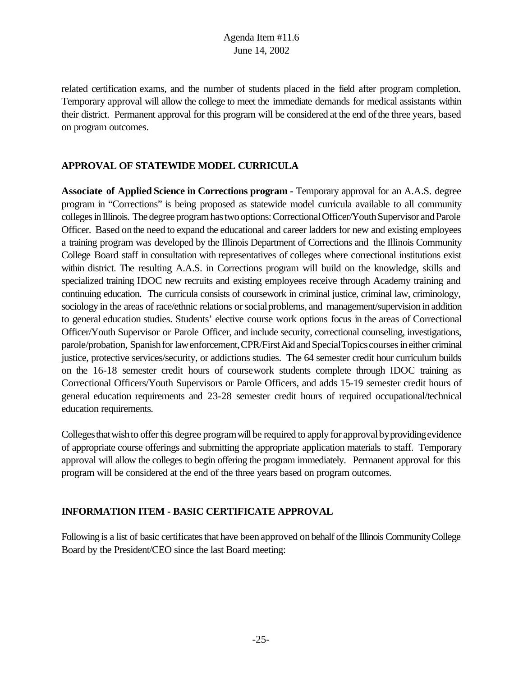related certification exams, and the number of students placed in the field after program completion. Temporary approval will allow the college to meet the immediate demands for medical assistants within their district. Permanent approval for this program will be considered at the end ofthe three years, based on program outcomes.

#### **APPROVAL OF STATEWIDE MODEL CURRICULA**

**Associate of Applied Science in Corrections program -** Temporary approval for an A.A.S. degree program in "Corrections" is being proposed as statewide model curricula available to all community colleges in Illinois. The degree program has two options: Correctional Officer/Youth Supervisor and Parole Officer. Based onthe need to expand the educational and career ladders for new and existing employees a training program was developed by the Illinois Department of Corrections and the Illinois Community College Board staff in consultation with representatives of colleges where correctional institutions exist within district. The resulting A.A.S. in Corrections program will build on the knowledge, skills and specialized training IDOC new recruits and existing employees receive through Academy training and continuing education. The curricula consists of coursework in criminal justice, criminal law, criminology, sociology in the areas of race/ethnic relations or social problems, and management/supervision in addition to general education studies. Students' elective course work options focus in the areas of Correctional Officer/Youth Supervisor or Parole Officer, and include security, correctional counseling, investigations, parole/probation, Spanish for law enforcement, CPR/First Aid and Special Topics courses in either criminal justice, protective services/security, or addictions studies. The 64 semester credit hour curriculum builds on the 16-18 semester credit hours of coursework students complete through IDOC training as Correctional Officers/Youth Supervisors or Parole Officers, and adds 15-19 semester credit hours of general education requirements and 23-28 semester credit hours of required occupational/technical education requirements.

Colleges that wish to offer this degree program will be required to apply for approval by providing evidence of appropriate course offerings and submitting the appropriate application materials to staff. Temporary approval will allow the colleges to begin offering the program immediately. Permanent approval for this program will be considered at the end of the three years based on program outcomes.

#### **INFORMATION ITEM - BASIC CERTIFICATE APPROVAL**

Following is a list of basic certificates that have been approved on behalf of the Illinois Community College Board by the President/CEO since the last Board meeting: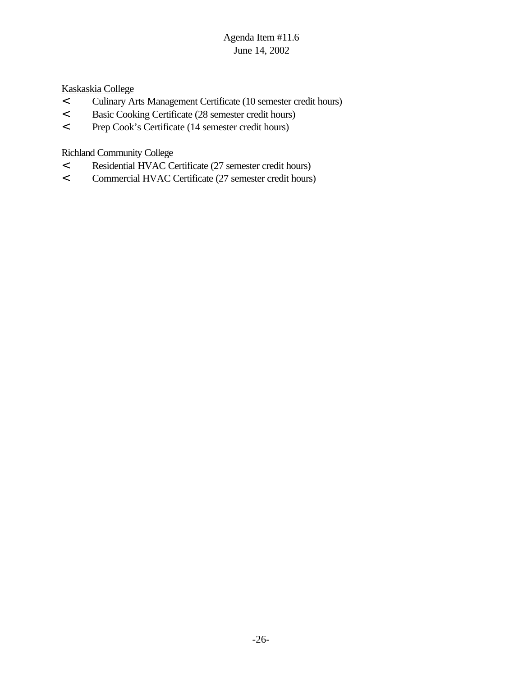Kaskaskia College

- < Culinary Arts Management Certificate (10 semester credit hours)
- < Basic Cooking Certificate (28 semester credit hours)
- < Prep Cook's Certificate (14 semester credit hours)

Richland Community College

- < Residential HVAC Certificate (27 semester credit hours)
- < Commercial HVAC Certificate (27 semester credit hours)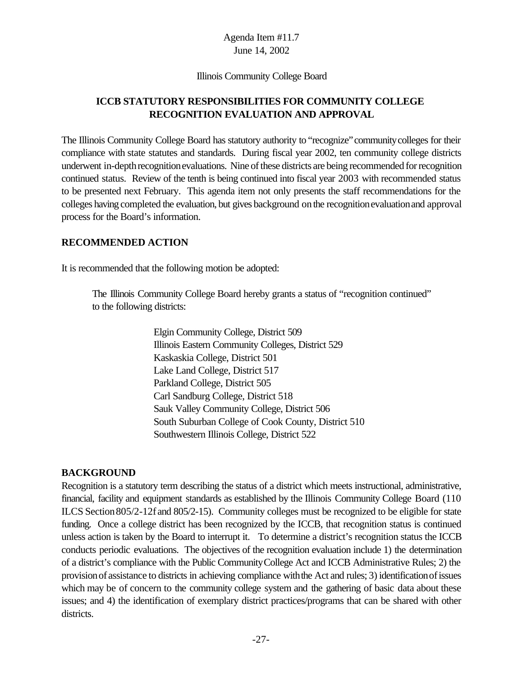#### Illinois Community College Board

## **ICCB STATUTORY RESPONSIBILITIES FOR COMMUNITY COLLEGE RECOGNITION EVALUATION AND APPROVAL**

The Illinois Community College Board has statutory authority to "recognize"communitycolleges for their compliance with state statutes and standards. During fiscal year 2002, ten community college districts underwent in-depthrecognitionevaluations. Nine of these districts are being recommended for recognition continued status. Review of the tenth is being continued into fiscal year 2003 with recommended status to be presented next February. This agenda item not only presents the staff recommendations for the colleges having completed the evaluation, but gives background onthe recognitionevaluationand approval process for the Board's information.

#### **RECOMMENDED ACTION**

It is recommended that the following motion be adopted:

The Illinois Community College Board hereby grants a status of "recognition continued" to the following districts:

> Elgin Community College, District 509 Illinois Eastern Community Colleges, District 529 Kaskaskia College, District 501 Lake Land College, District 517 Parkland College, District 505 Carl Sandburg College, District 518 Sauk Valley Community College, District 506 South Suburban College of Cook County, District 510 Southwestern Illinois College, District 522

#### **BACKGROUND**

Recognition is a statutory term describing the status of a district which meets instructional, administrative, financial, facility and equipment standards as established by the Illinois Community College Board (110 ILCS Section805/2-12f and 805/2-15). Community colleges must be recognized to be eligible for state funding. Once a college district has been recognized by the ICCB, that recognition status is continued unless action is taken by the Board to interrupt it. To determine a district's recognition status the ICCB conducts periodic evaluations. The objectives of the recognition evaluation include 1) the determination of a district's compliance with the Public CommunityCollege Act and ICCB Administrative Rules; 2) the provisionof assistance to districts in achieving compliance withthe Act and rules; 3) identificationofissues which may be of concern to the community college system and the gathering of basic data about these issues; and 4) the identification of exemplary district practices/programs that can be shared with other districts.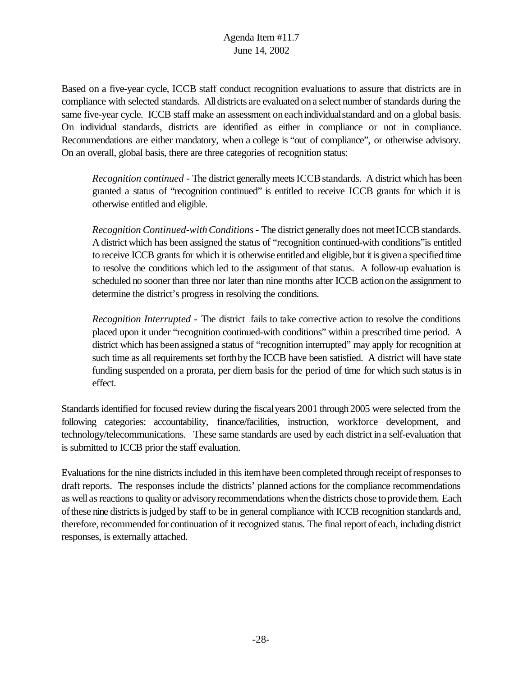Based on a five-year cycle, ICCB staff conduct recognition evaluations to assure that districts are in compliance with selected standards. All districts are evaluated on a select number of standards during the same five-year cycle. ICCB staff make an assessment oneachindividualstandard and on a global basis. On individual standards, districts are identified as either in compliance or not in compliance. Recommendations are either mandatory, when a college is "out of compliance", or otherwise advisory. On an overall, global basis, there are three categories of recognition status:

*Recognition continued* - The district generally meets ICCB standards. A district which has been granted a status of "recognition continued" is entitled to receive ICCB grants for which it is otherwise entitled and eligible.

*Recognition Continued-with Conditions* - The district generally does not meet ICCB standards. A district which has been assigned the status of "recognition continued-with conditions"is entitled to receive ICCB grants for which it is otherwise entitled and eligible, but it is givena specified time to resolve the conditions which led to the assignment of that status. A follow-up evaluation is scheduled no sooner than three nor later than nine months after ICCB actiononthe assignment to determine the district's progress in resolving the conditions.

*Recognition Interrupted* - The district fails to take corrective action to resolve the conditions placed upon it under "recognition continued-with conditions" within a prescribed time period. A district which has been assigned a status of "recognition interrupted" may apply for recognition at such time as all requirements set forth by the ICCB have been satisfied. A district will have state funding suspended on a prorata, per diem basis for the period of time for which such status is in effect.

Standards identified for focused review during the fiscalyears 2001 through 2005 were selected from the following categories: accountability, finance/facilities, instruction, workforce development, and technology/telecommunications. These same standards are used by each district ina self-evaluation that is submitted to ICCB prior the staff evaluation.

Evaluations for the nine districts included in this itemhave beencompleted through receipt ofresponsesto draft reports. The responses include the districts' planned actions for the compliance recommendations as well as reactions to quality or advisory recommendations when the districts chose to provide them. Each of these nine districts is judged by staff to be in general compliance with ICCB recognition standards and, therefore, recommended for continuation of it recognized status. The final report of each, including district responses, is externally attached.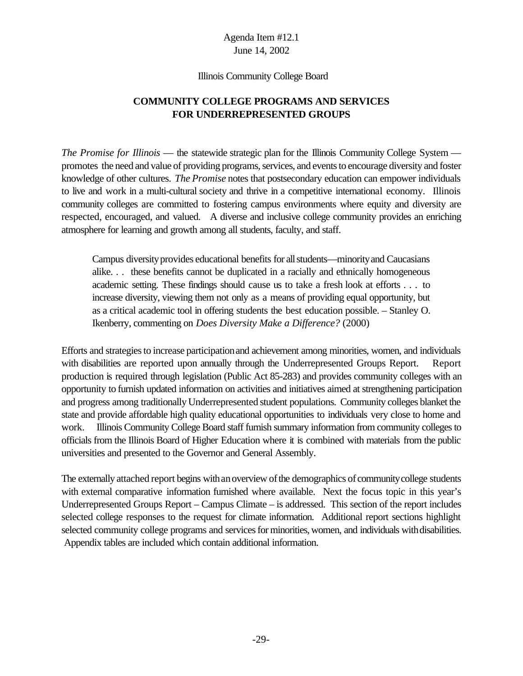#### Illinois Community College Board

## **COMMUNITY COLLEGE PROGRAMS AND SERVICES FOR UNDERREPRESENTED GROUPS**

*The Promise for Illinois* — the statewide strategic plan for the Illinois Community College System promotes the need and value of providing programs, services, and events to encourage diversity and foster knowledge of other cultures. *The Promise* notes that postsecondary education can empower individuals to live and work in a multi-cultural society and thrive in a competitive international economy. Illinois community colleges are committed to fostering campus environments where equity and diversity are respected, encouraged, and valued. A diverse and inclusive college community provides an enriching atmosphere for learning and growth among all students, faculty, and staff.

Campus diversityprovides educational benefits for allstudents—minorityand Caucasians alike. . . these benefits cannot be duplicated in a racially and ethnically homogeneous academic setting. These findings should cause us to take a fresh look at efforts . . . to increase diversity, viewing them not only as a means of providing equal opportunity, but as a critical academic tool in offering students the best education possible. – Stanley O. Ikenberry, commenting on *Does Diversity Make a Difference?* (2000)

Efforts and strategies to increase participation and achievement among minorities, women, and individuals with disabilities are reported upon annually through the Underrepresented Groups Report. Report production is required through legislation (Public Act 85-283) and provides community colleges with an opportunity to furnish updated information on activities and initiatives aimed at strengthening participation and progress among traditionally Underrepresented student populations. Community colleges blanket the state and provide affordable high quality educational opportunities to individuals very close to home and work. Illinois Community College Board staff furnish summary information from community colleges to officials from the Illinois Board of Higher Education where it is combined with materials from the public universities and presented to the Governor and General Assembly.

The externally attached report begins with an overview of the demographics of community college students with external comparative information furnished where available. Next the focus topic in this year's Underrepresented Groups Report – Campus Climate – is addressed. This section of the report includes selected college responses to the request for climate information. Additional report sections highlight selected community college programs and services for minorities, women, and individuals with disabilities. Appendix tables are included which contain additional information.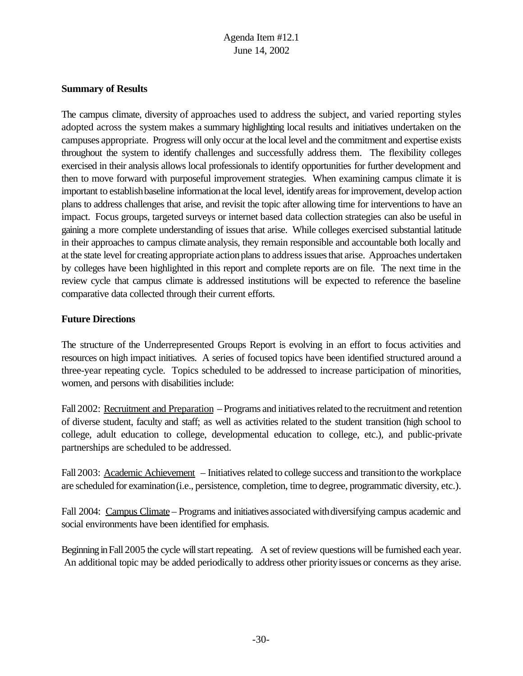#### **Summary of Results**

The campus climate, diversity of approaches used to address the subject, and varied reporting styles adopted across the system makes a summary highlighting local results and initiatives undertaken on the campuses appropriate. Progress will only occur at the local level and the commitment and expertise exists throughout the system to identify challenges and successfully address them. The flexibility colleges exercised in their analysis allows local professionals to identify opportunities for further development and then to move forward with purposeful improvement strategies. When examining campus climate it is important to establish baseline information at the local level, identify areas for improvement, develop action plans to address challenges that arise, and revisit the topic after allowing time for interventions to have an impact. Focus groups, targeted surveys or internet based data collection strategies can also be useful in gaining a more complete understanding of issues that arise. While colleges exercised substantial latitude in their approaches to campus climate analysis, they remain responsible and accountable both locally and at the state level for creating appropriate actionplans to addressissuesthat arise. Approaches undertaken by colleges have been highlighted in this report and complete reports are on file. The next time in the review cycle that campus climate is addressed institutions will be expected to reference the baseline comparative data collected through their current efforts.

#### **Future Directions**

The structure of the Underrepresented Groups Report is evolving in an effort to focus activities and resources on high impact initiatives. A series of focused topics have been identified structured around a three-year repeating cycle. Topics scheduled to be addressed to increase participation of minorities, women, and persons with disabilities include:

Fall 2002: Recruitment and Preparation – Programs and initiatives related to the recruitment and retention of diverse student, faculty and staff; as well as activities related to the student transition (high school to college, adult education to college, developmental education to college, etc.), and public-private partnerships are scheduled to be addressed.

Fall 2003: Academic Achievement – Initiatives related to college success and transitionto the workplace are scheduled for examination(i.e., persistence, completion, time to degree, programmatic diversity, etc.).

Fall 2004: Campus Climate – Programs and initiatives associated with diversifying campus academic and social environments have been identified for emphasis.

Beginning in Fall 2005 the cycle will start repeating. A set of review questions will be furnished each year. An additional topic may be added periodically to address other priority issues or concerns as they arise.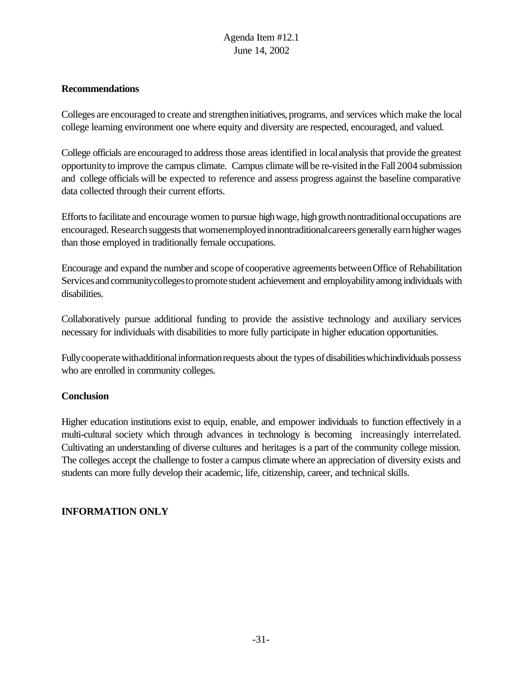#### **Recommendations**

Colleges are encouraged to create and strengtheninitiatives, programs, and services which make the local college learning environment one where equity and diversity are respected, encouraged, and valued.

College officials are encouraged to address those areas identified in localanalysis that provide the greatest opportunityto improve the campus climate. Campus climate willbe re-visited inthe Fall 2004 submission and college officials will be expected to reference and assess progress against the baseline comparative data collected through their current efforts.

Efforts to facilitate and encourage women to pursue high wage, high growth nontraditional occupations are encouraged. Research suggests that womenemployed innontraditional careers generally earn higher wages than those employed in traditionally female occupations.

Encourage and expand the number and scope of cooperative agreements betweenOffice of Rehabilitation Services and communitycolleges to promote student achievement and employability among individuals with disabilities.

Collaboratively pursue additional funding to provide the assistive technology and auxiliary services necessary for individuals with disabilities to more fully participate in higher education opportunities.

Fully cooperate with additional information requests about the types of disabilities which individuals possess who are enrolled in community colleges.

#### **Conclusion**

Higher education institutions exist to equip, enable, and empower individuals to function effectively in a multi-cultural society which through advances in technology is becoming increasingly interrelated. Cultivating an understanding of diverse cultures and heritages is a part of the community college mission. The colleges accept the challenge to foster a campus climate where an appreciation of diversity exists and students can more fully develop their academic, life, citizenship, career, and technical skills.

#### **INFORMATION ONLY**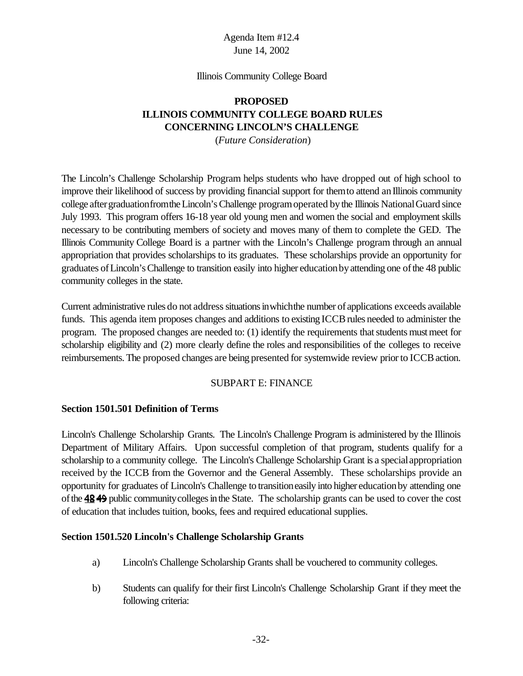#### Illinois Community College Board

## **PROPOSED ILLINOIS COMMUNITY COLLEGE BOARD RULES CONCERNING LINCOLN'S CHALLENGE**

(*Future Consideration*)

The Lincoln's Challenge Scholarship Program helps students who have dropped out of high school to improve their likelihood of success by providing financial support for them to attend an Illinois community college after graduation from the Lincoln's Challenge program operated by the Illinois National Guard since July 1993. This program offers 16-18 year old young men and women the social and employment skills necessary to be contributing members of society and moves many of them to complete the GED. The Illinois Community College Board is a partner with the Lincoln's Challenge program through an annual appropriation that provides scholarships to its graduates. These scholarships provide an opportunity for graduates ofLincoln'sChallenge to transition easily into higher educationbyattending one ofthe 48 public community colleges in the state.

Current administrative rules do not address situations in which the number of applications exceeds available funds. This agenda item proposes changes and additions to existing ICCB rules needed to administer the program. The proposed changes are needed to:  $(1)$  identify the requirements that students must meet for scholarship eligibility and (2) more clearly define the roles and responsibilities of the colleges to receive reimbursements. The proposed changes are being presented for systemwide review prior to ICCB action.

#### SUBPART E: FINANCE

#### **Section 1501.501 Definition of Terms**

Lincoln's Challenge Scholarship Grants. The Lincoln's Challenge Program is administered by the Illinois Department of Military Affairs. Upon successful completion of that program, students qualify for a scholarship to a community college. The Lincoln's Challenge Scholarship Grant is a special appropriation received by the ICCB from the Governor and the General Assembly. These scholarships provide an opportunity for graduates of Lincoln's Challenge to transitioneasily into higher educationby attending one of the 4849 public community colleges in the State. The scholarship grants can be used to cover the cost of education that includes tuition, books, fees and required educational supplies.

#### **Section 1501.520 Lincoln's Challenge Scholarship Grants**

- a) Lincoln's Challenge Scholarship Grants shall be vouchered to community colleges.
- b) Students can qualify for their first Lincoln's Challenge Scholarship Grant if they meet the following criteria: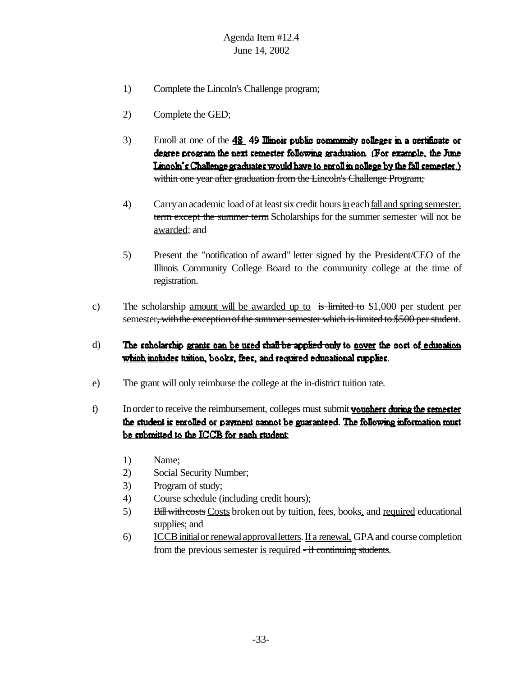- 1) Complete the Lincoln's Challenge program;
- 2) Complete the GED;
- 3) Enroll at one of the  $\frac{48}{9}$  49 Illinois public community colleges in a certificate or degree program the next semester following graduation. (For example, the June Linnoln's Challenge graduates would have to enroll in nollege by the fall semester.) within one year after graduation from the Lincoln's Challenge Program;
- 4) Carry an academic load of at least six credit hours in each <u>fall and spring semester.</u> term except the summer term Scholarships for the summer semester will not be awarded; and
- 5) Present the "notification of award" letter signed by the President/CEO of the Illinois Community College Board to the community college at the time of registration.
- c) The scholarship <u>amount will be awarded up to</u> is limited to \$1,000 per student per semester, with the exception of the summer semester which is limited to \$500 per student.
- d) The scholarship grants can be used shall be applied only to gover the cost of education which mohides tution, books, fees, and required educational supplies.
- e) The grant will only reimburse the college at the in-district tuition rate.
- $f$  In order to receive the reimbursement, colleges must submit **voughers during the semester** the student is enrolled or payment cannot be guaranteed. The following information must be submitted to the ICCB for each student:
	- 1) Name;
	- 2) Social Security Number;
	- 3) Program of study;
	- 4) Course schedule (including credit hours);
	- 5) Bill with costs Costs broken out by tuition, fees, books, and required educational supplies; and
	- 6) ICCB initial or renewal approval letters. If a renewal, GPA and course completion from the previous semester is required - if continuing students.